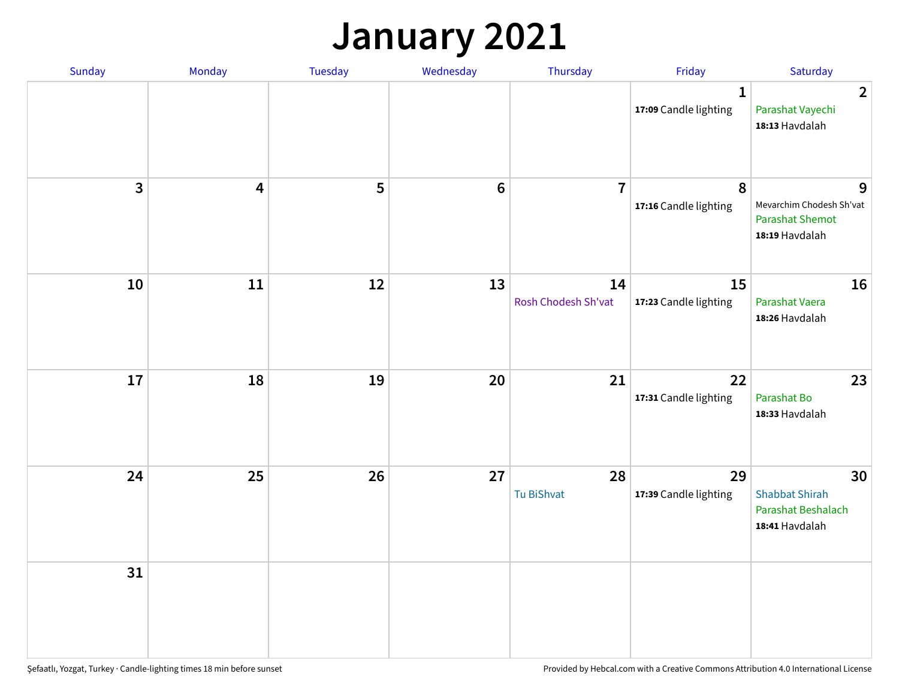## **January 2021**

| Sunday       | Monday                  | Tuesday | Wednesday | Thursday                  | Friday                                | Saturday                                                                  |
|--------------|-------------------------|---------|-----------|---------------------------|---------------------------------------|---------------------------------------------------------------------------|
|              |                         |         |           |                           | $\mathbf{1}$<br>17:09 Candle lighting | $\overline{2}$<br>Parashat Vayechi<br>18:13 Havdalah                      |
| $\mathbf{3}$ | $\overline{\mathbf{4}}$ | 5       | $\bf 6$   | $\overline{7}$            | 8<br>17:16 Candle lighting            | 9<br>Mevarchim Chodesh Sh'vat<br><b>Parashat Shemot</b><br>18:19 Havdalah |
| 10           | 11                      | 12      | 13        | 14<br>Rosh Chodesh Sh'vat | 15<br>17:23 Candle lighting           | 16<br>Parashat Vaera<br>18:26 Havdalah                                    |
| 17           | 18                      | 19      | 20        | 21                        | 22<br>17:31 Candle lighting           | 23<br>Parashat Bo<br>18:33 Havdalah                                       |
| 24           | 25                      | 26      | 27        | 28<br>Tu BiShvat          | 29<br>17:39 Candle lighting           | 30<br><b>Shabbat Shirah</b><br>Parashat Beshalach<br>18:41 Havdalah       |
| 31           |                         |         |           |                           |                                       |                                                                           |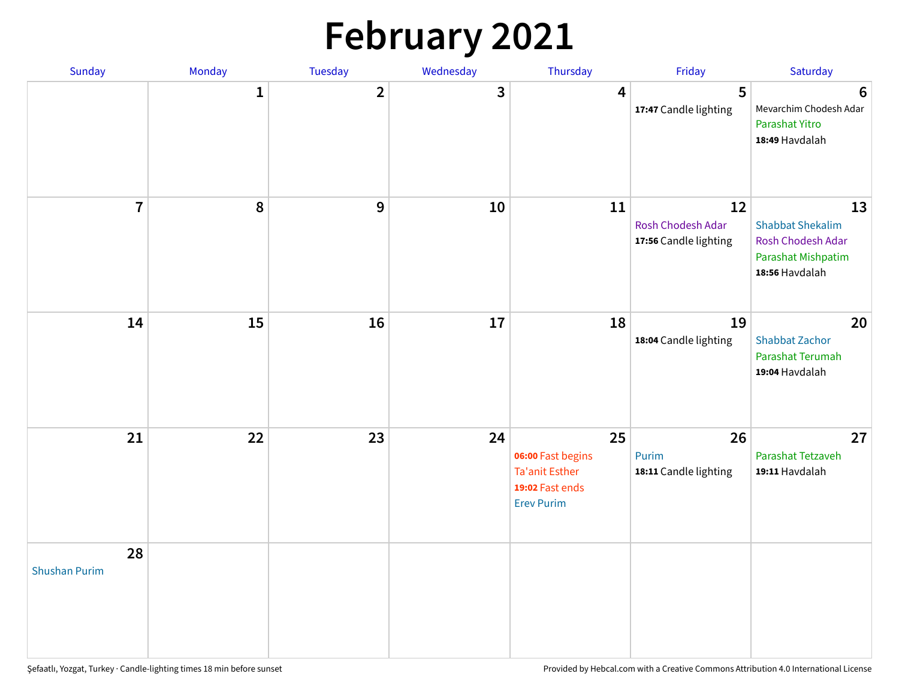# **February 2021**

| Sunday                     | Monday       | Tuesday        | Wednesday | Thursday                                                                          | Friday                                           | Saturday                                                                                   |
|----------------------------|--------------|----------------|-----------|-----------------------------------------------------------------------------------|--------------------------------------------------|--------------------------------------------------------------------------------------------|
|                            | $\mathbf{1}$ | $\overline{2}$ | 3         | 4                                                                                 | 5<br>17:47 Candle lighting                       | $6\phantom{1}6$<br>Mevarchim Chodesh Adar<br>Parashat Yitro<br>18:49 Havdalah              |
| $\overline{7}$             | ${\bf 8}$    | $\mathbf{9}$   | 10        | 11                                                                                | 12<br>Rosh Chodesh Adar<br>17:56 Candle lighting | 13<br><b>Shabbat Shekalim</b><br>Rosh Chodesh Adar<br>Parashat Mishpatim<br>18:56 Havdalah |
| 14                         | 15           | 16             | 17        | 18                                                                                | 19<br>18:04 Candle lighting                      | 20<br><b>Shabbat Zachor</b><br>Parashat Terumah<br>19:04 Havdalah                          |
| 21                         | 22           | 23             | 24        | 25<br>06:00 Fast begins<br>Ta'anit Esther<br>19:02 Fast ends<br><b>Erev Purim</b> | 26<br>Purim<br>18:11 Candle lighting             | 27<br>Parashat Tetzaveh<br>19:11 Havdalah                                                  |
| 28<br><b>Shushan Purim</b> |              |                |           |                                                                                   |                                                  |                                                                                            |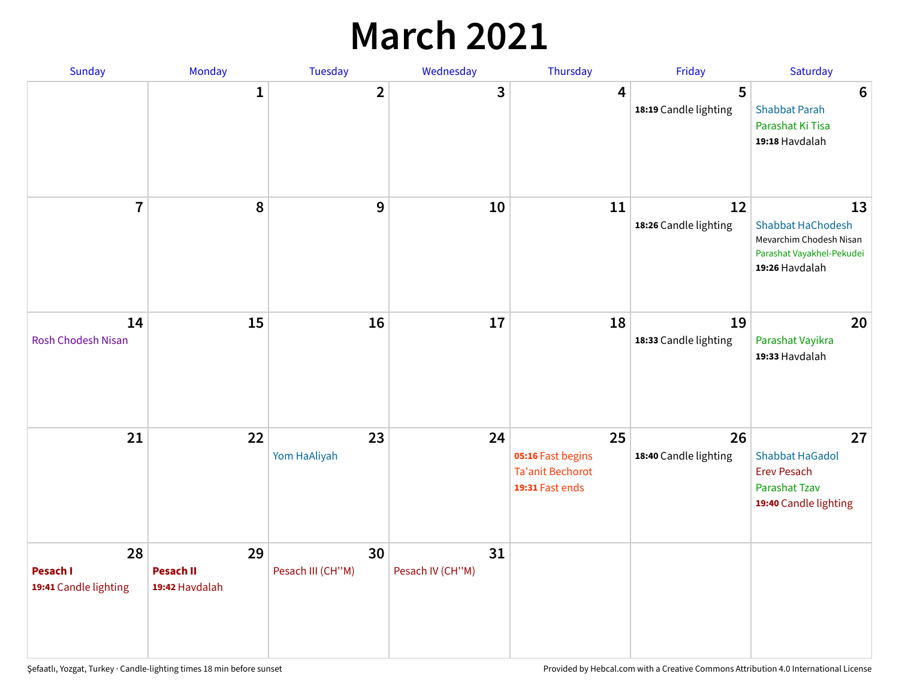## **March 2021**

| Sunday                                  | Monday                                   | Tuesday                 | Wednesday              | Thursday                                                              | Friday                      | Saturday                                                                                                 |
|-----------------------------------------|------------------------------------------|-------------------------|------------------------|-----------------------------------------------------------------------|-----------------------------|----------------------------------------------------------------------------------------------------------|
|                                         | $\mathbf{1}$                             | $\overline{2}$          | 3                      | 4                                                                     | 5<br>18:19 Candle lighting  | $6\phantom{1}6$<br><b>Shabbat Parah</b><br>Parashat Ki Tisa<br>19:18 Havdalah                            |
| $\overline{7}$                          | 8                                        | 9                       | 10                     | 11                                                                    | 12<br>18:26 Candle lighting | 13<br><b>Shabbat HaChodesh</b><br>Mevarchim Chodesh Nisan<br>Parashat Vayakhel-Pekudei<br>19:26 Havdalah |
| 14<br><b>Rosh Chodesh Nisan</b>         | 15                                       | 16                      | 17                     | 18                                                                    | 19<br>18:33 Candle lighting | 20<br>Parashat Vayikra<br>19:33 Havdalah                                                                 |
| 21                                      | 22                                       | 23<br>Yom HaAliyah      | 24                     | 25<br>05:16 Fast begins<br><b>Ta'anit Bechorot</b><br>19:31 Fast ends | 26<br>18:40 Candle lighting | 27<br><b>Shabbat HaGadol</b><br><b>Erev Pesach</b><br><b>Parashat Tzav</b><br>19:40 Candle lighting      |
| 28<br>Pesach I<br>19:41 Candle lighting | 29<br><b>Pesach II</b><br>19:42 Havdalah | 30<br>Pesach III (CH"M) | 31<br>Pesach IV (CH"M) |                                                                       |                             |                                                                                                          |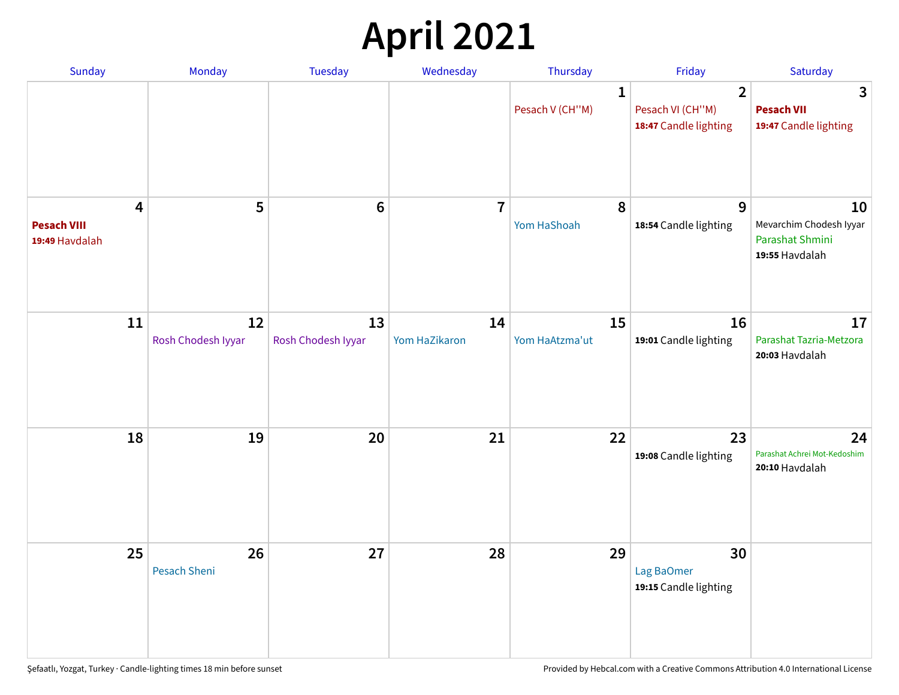# **April 2021**

| Sunday                                                          | Monday                    | <b>Tuesday</b>           | Wednesday               | Thursday                        | Friday                                                      | Saturday                                                           |
|-----------------------------------------------------------------|---------------------------|--------------------------|-------------------------|---------------------------------|-------------------------------------------------------------|--------------------------------------------------------------------|
|                                                                 |                           |                          |                         | $\mathbf{1}$<br>Pesach V (CH"M) | $\overline{2}$<br>Pesach VI (CH"M)<br>18:47 Candle lighting | 3<br><b>Pesach VII</b><br>19:47 Candle lighting                    |
| $\overline{\mathbf{4}}$<br><b>Pesach VIII</b><br>19:49 Havdalah | 5                         | $6\phantom{1}6$          | $\overline{\mathbf{r}}$ | 8<br>Yom HaShoah                | 9<br>18:54 Candle lighting                                  | 10<br>Mevarchim Chodesh Iyyar<br>Parashat Shmini<br>19:55 Havdalah |
| 11                                                              | 12<br>Rosh Chodesh Iyyar  | 13<br>Rosh Chodesh Iyyar | 14<br>Yom HaZikaron     | 15<br>Yom HaAtzma'ut            | 16<br>19:01 Candle lighting                                 | 17<br>Parashat Tazria-Metzora<br>20:03 Havdalah                    |
| 18                                                              | 19                        | 20                       | 21                      | 22                              | 23<br>19:08 Candle lighting                                 | 24<br>Parashat Achrei Mot-Kedoshim<br>20:10 Havdalah               |
| 25                                                              | 26<br><b>Pesach Sheni</b> | 27                       | 28                      | 29                              | 30<br>Lag BaOmer<br>19:15 Candle lighting                   |                                                                    |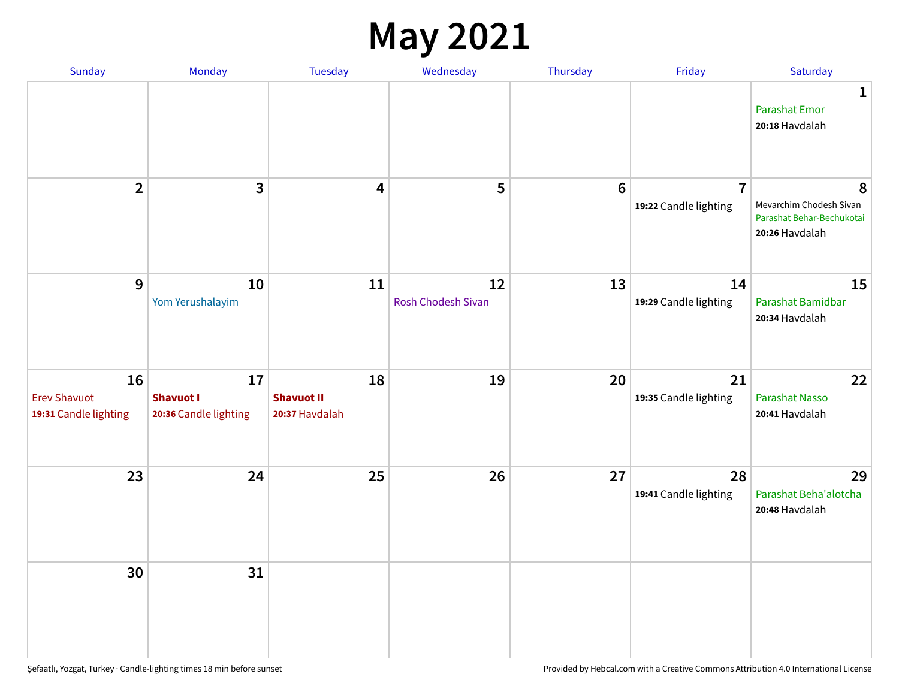#### **May 2021**

| Sunday                                             | Monday                                          | <b>Tuesday</b>                            | Wednesday                       | Thursday        | Friday                                  | Saturday                                                                    |
|----------------------------------------------------|-------------------------------------------------|-------------------------------------------|---------------------------------|-----------------|-----------------------------------------|-----------------------------------------------------------------------------|
|                                                    |                                                 |                                           |                                 |                 |                                         | 1<br><b>Parashat Emor</b><br>20:18 Havdalah                                 |
| $\overline{2}$                                     | $\overline{\mathbf{3}}$                         | 4                                         | 5                               | $6\phantom{1}6$ | $\overline{7}$<br>19:22 Candle lighting | 8<br>Mevarchim Chodesh Sivan<br>Parashat Behar-Bechukotai<br>20:26 Havdalah |
| 9                                                  | 10<br>Yom Yerushalayim                          | 11                                        | 12<br><b>Rosh Chodesh Sivan</b> | 13              | 14<br>19:29 Candle lighting             | 15<br>Parashat Bamidbar<br>20:34 Havdalah                                   |
| 16<br><b>Erev Shavuot</b><br>19:31 Candle lighting | 17<br><b>Shavuot I</b><br>20:36 Candle lighting | 18<br><b>Shavuot II</b><br>20:37 Havdalah | 19                              | 20              | 21<br>19:35 Candle lighting             | 22<br><b>Parashat Nasso</b><br>20:41 Havdalah                               |
| 23                                                 | 24                                              | 25                                        | 26                              | 27              | 28<br>19:41 Candle lighting             | 29<br>Parashat Beha'alotcha<br>20:48 Havdalah                               |
| 30                                                 | 31                                              |                                           |                                 |                 |                                         |                                                                             |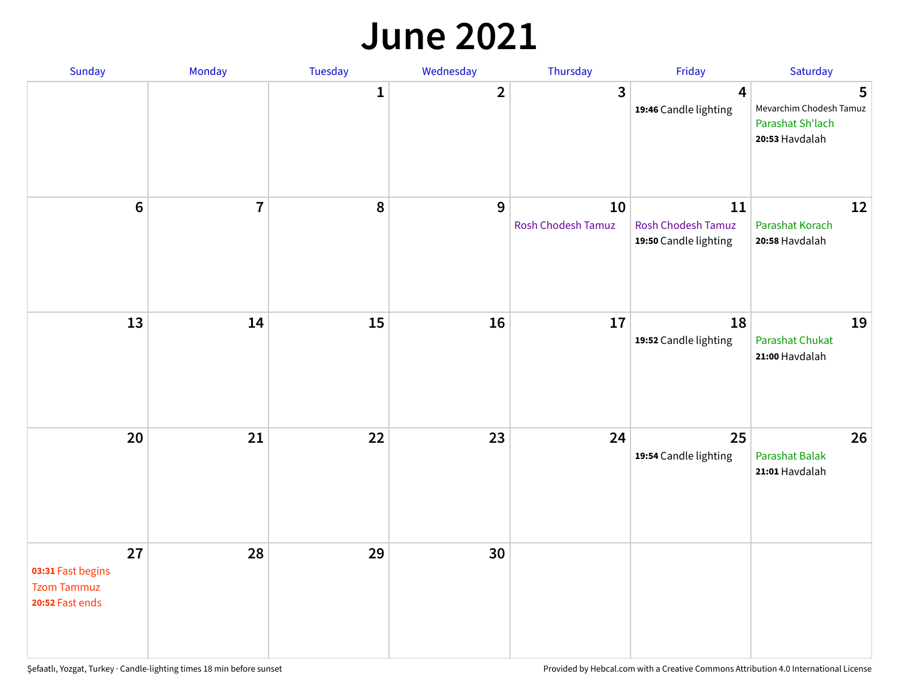#### **June 2021**

| Sunday                                                           | Monday         | Tuesday      | Wednesday    | Thursday                 | Friday                                                   | Saturday                                                           |
|------------------------------------------------------------------|----------------|--------------|--------------|--------------------------|----------------------------------------------------------|--------------------------------------------------------------------|
|                                                                  |                | $\mathbf{1}$ | $\mathbf{2}$ | $\mathbf{3}$             | $\overline{\mathbf{4}}$<br>19:46 Candle lighting         | 5<br>Mevarchim Chodesh Tamuz<br>Parashat Sh'lach<br>20:53 Havdalah |
| $\boldsymbol{6}$                                                 | $\overline{7}$ | 8            | 9            | 10<br>Rosh Chodesh Tamuz | 11<br><b>Rosh Chodesh Tamuz</b><br>19:50 Candle lighting | 12<br>Parashat Korach<br>20:58 Havdalah                            |
| 13                                                               | 14             | 15           | 16           | 17                       | 18<br>19:52 Candle lighting                              | 19<br><b>Parashat Chukat</b><br>21:00 Havdalah                     |
| 20                                                               | 21             | 22           | 23           | 24                       | 25<br>19:54 Candle lighting                              | 26<br>Parashat Balak<br>21:01 Havdalah                             |
| 27<br>03:31 Fast begins<br><b>Tzom Tammuz</b><br>20:52 Fast ends | 28             | 29           | 30           |                          |                                                          |                                                                    |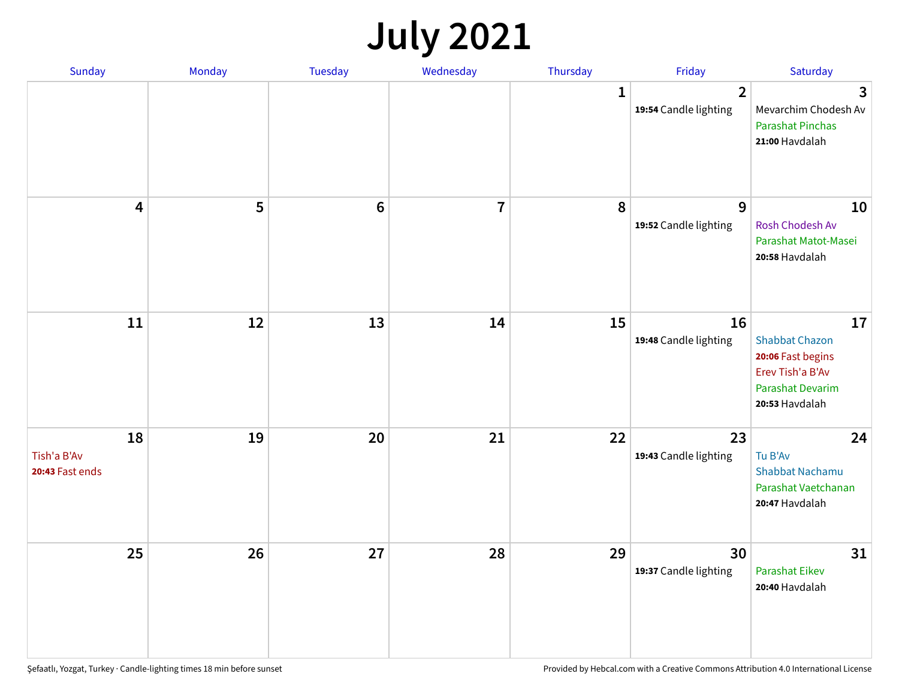# **July 2021**

| Sunday                               | Monday | Tuesday        | Wednesday               | Thursday     | Friday                                  | Saturday                                                                                                          |
|--------------------------------------|--------|----------------|-------------------------|--------------|-----------------------------------------|-------------------------------------------------------------------------------------------------------------------|
|                                      |        |                |                         | $\mathbf{1}$ | $\overline{2}$<br>19:54 Candle lighting | 3<br>Mevarchim Chodesh Av<br><b>Parashat Pinchas</b><br>21:00 Havdalah                                            |
| 4                                    | 5      | $6\phantom{1}$ | $\overline{\mathbf{r}}$ | 8            | 9<br>19:52 Candle lighting              | 10<br>Rosh Chodesh Av<br>Parashat Matot-Masei<br>20:58 Havdalah                                                   |
| 11                                   | 12     | 13             | 14                      | 15           | 16<br>19:48 Candle lighting             | 17<br><b>Shabbat Chazon</b><br>20:06 Fast begins<br>Erev Tish'a B'Av<br><b>Parashat Devarim</b><br>20:53 Havdalah |
| 18<br>Tish'a B'Av<br>20:43 Fast ends | 19     | 20             | 21                      | 22           | 23<br>19:43 Candle lighting             | 24<br>Tu B'Av<br>Shabbat Nachamu<br>Parashat Vaetchanan<br>20:47 Havdalah                                         |
| 25                                   | 26     | 27             | 28                      | 29           | 30<br>19:37 Candle lighting             | 31<br><b>Parashat Eikev</b><br>20:40 Havdalah                                                                     |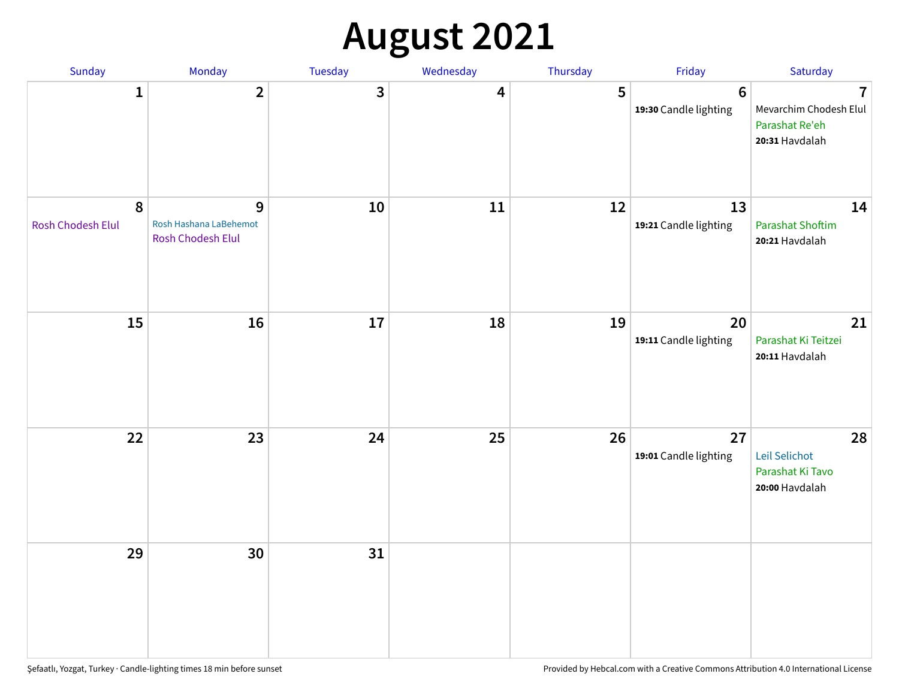# **August 2021**

| Sunday                                       | Monday                                                      | Tuesday | Wednesday               | Thursday | Friday                                    | Saturday                                                                     |
|----------------------------------------------|-------------------------------------------------------------|---------|-------------------------|----------|-------------------------------------------|------------------------------------------------------------------------------|
| $\mathbf{1}$                                 | $\overline{2}$                                              | 3       | $\overline{\mathbf{4}}$ | 5        | $\boldsymbol{6}$<br>19:30 Candle lighting | $\overline{1}$<br>Mevarchim Chodesh Elul<br>Parashat Re'eh<br>20:31 Havdalah |
| $\boldsymbol{8}$<br><b>Rosh Chodesh Elul</b> | $\mathbf{9}$<br>Rosh Hashana LaBehemot<br>Rosh Chodesh Elul | 10      | 11                      | 12       | 13<br>19:21 Candle lighting               | 14<br><b>Parashat Shoftim</b><br>20:21 Havdalah                              |
| 15                                           | 16                                                          | $17\,$  | 18                      | 19       | 20<br>19:11 Candle lighting               | 21<br>Parashat Ki Teitzei<br>20:11 Havdalah                                  |
| 22                                           | 23                                                          | 24      | 25                      | 26       | 27<br>19:01 Candle lighting               | 28<br>Leil Selichot<br>Parashat Ki Tavo<br>20:00 Havdalah                    |
| 29                                           | 30                                                          | 31      |                         |          |                                           |                                                                              |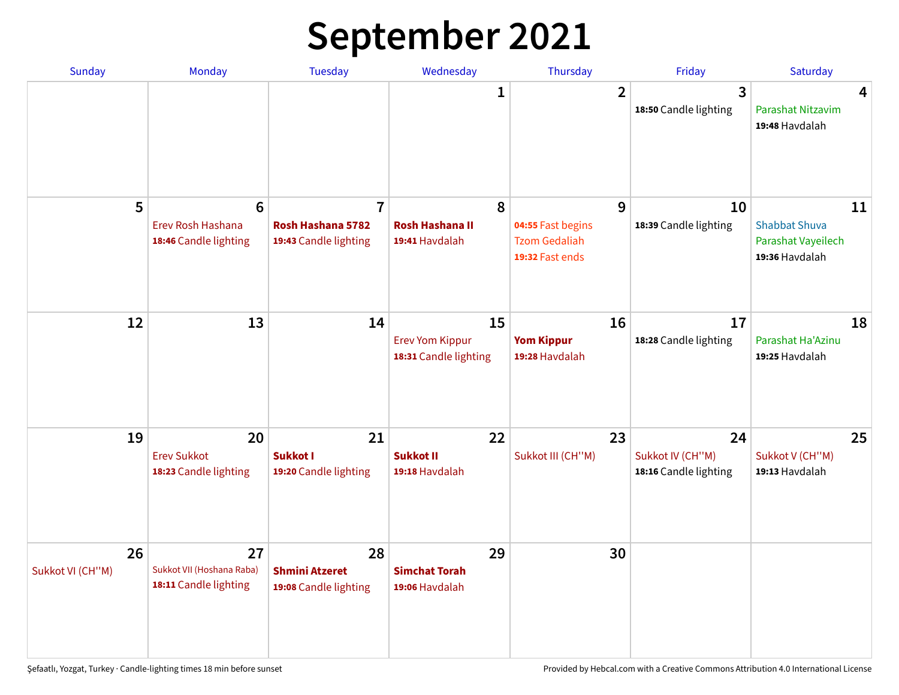# **September 2021**

| <b>Sunday</b>          | Monday                                                        | <b>Tuesday</b>                                               | Wednesday                                             | Thursday                                                          | Friday                                          | Saturday                                                           |
|------------------------|---------------------------------------------------------------|--------------------------------------------------------------|-------------------------------------------------------|-------------------------------------------------------------------|-------------------------------------------------|--------------------------------------------------------------------|
|                        |                                                               |                                                              | 1                                                     | $\overline{2}$                                                    | 3<br>18:50 Candle lighting                      | 4<br>Parashat Nitzavim<br>19:48 Havdalah                           |
| 5                      | $6\phantom{1}6$<br>Erev Rosh Hashana<br>18:46 Candle lighting | $\overline{7}$<br>Rosh Hashana 5782<br>19:43 Candle lighting | 8<br><b>Rosh Hashana II</b><br>19:41 Havdalah         | 9<br>04:55 Fast begins<br><b>Tzom Gedaliah</b><br>19:32 Fast ends | 10<br>18:39 Candle lighting                     | 11<br><b>Shabbat Shuva</b><br>Parashat Vayeilech<br>19:36 Havdalah |
| 12                     | 13                                                            | 14                                                           | 15<br><b>Erev Yom Kippur</b><br>18:31 Candle lighting | 16<br><b>Yom Kippur</b><br>19:28 Havdalah                         | 17<br>18:28 Candle lighting                     | 18<br>Parashat Ha'Azinu<br>19:25 Havdalah                          |
| 19                     | 20<br><b>Erev Sukkot</b><br>18:23 Candle lighting             | 21<br><b>Sukkot I</b><br>19:20 Candle lighting               | 22<br><b>Sukkot II</b><br>19:18 Havdalah              | 23<br>Sukkot III (CH"M)                                           | 24<br>Sukkot IV (CH"M)<br>18:16 Candle lighting | 25<br>Sukkot V (CH"M)<br>19:13 Havdalah                            |
| 26<br>Sukkot VI (CH"M) | 27<br>Sukkot VII (Hoshana Raba)<br>18:11 Candle lighting      | 28<br><b>Shmini Atzeret</b><br>19:08 Candle lighting         | 29<br><b>Simchat Torah</b><br>19:06 Havdalah          | 30                                                                |                                                 |                                                                    |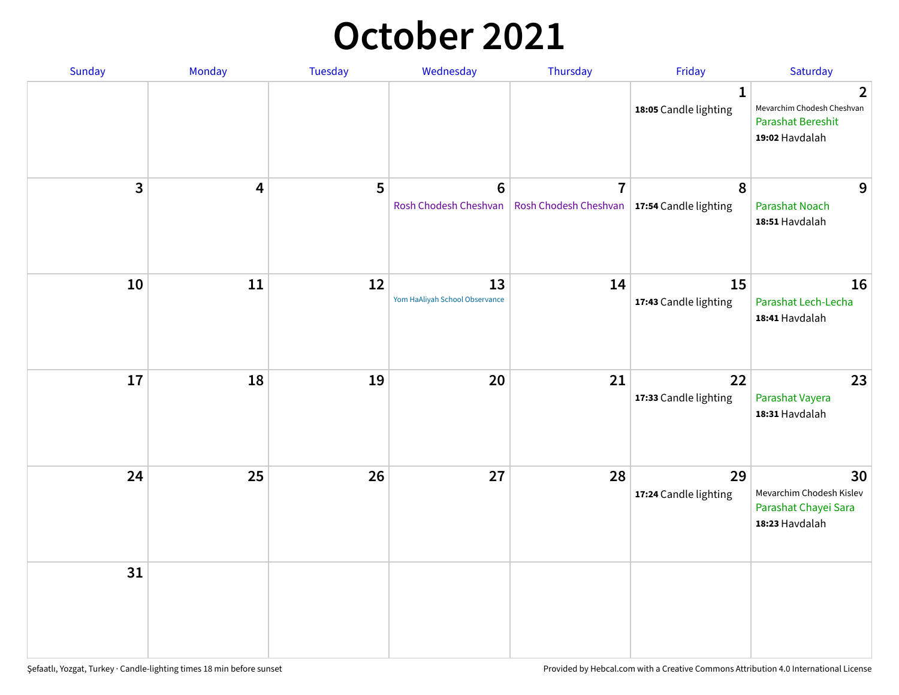### **October 2021**

| Sunday                  | Monday | Tuesday | Wednesday                            | Thursday                                                        | Friday                                | Saturday                                                                                   |
|-------------------------|--------|---------|--------------------------------------|-----------------------------------------------------------------|---------------------------------------|--------------------------------------------------------------------------------------------|
|                         |        |         |                                      |                                                                 | $\mathbf{1}$<br>18:05 Candle lighting | $\overline{2}$<br>Mevarchim Chodesh Cheshvan<br><b>Parashat Bereshit</b><br>19:02 Havdalah |
| $\overline{\mathbf{3}}$ | 4      | 5       | $\bf 6$<br>Rosh Chodesh Cheshvan     | $\overline{7}$<br>Rosh Chodesh Cheshvan   17:54 Candle lighting | 8                                     | 9<br><b>Parashat Noach</b><br>18:51 Havdalah                                               |
| 10                      | 11     | 12      | 13<br>Yom HaAliyah School Observance | 14                                                              | 15<br>17:43 Candle lighting           | 16<br>Parashat Lech-Lecha<br>18:41 Havdalah                                                |
| 17                      | 18     | 19      | 20                                   | 21                                                              | 22<br>17:33 Candle lighting           | 23<br>Parashat Vayera<br>18:31 Havdalah                                                    |
| 24                      | 25     | 26      | 27                                   | 28                                                              | 29<br>17:24 Candle lighting           | 30<br>Mevarchim Chodesh Kislev<br>Parashat Chayei Sara<br>18:23 Havdalah                   |
| 31                      |        |         |                                      |                                                                 |                                       |                                                                                            |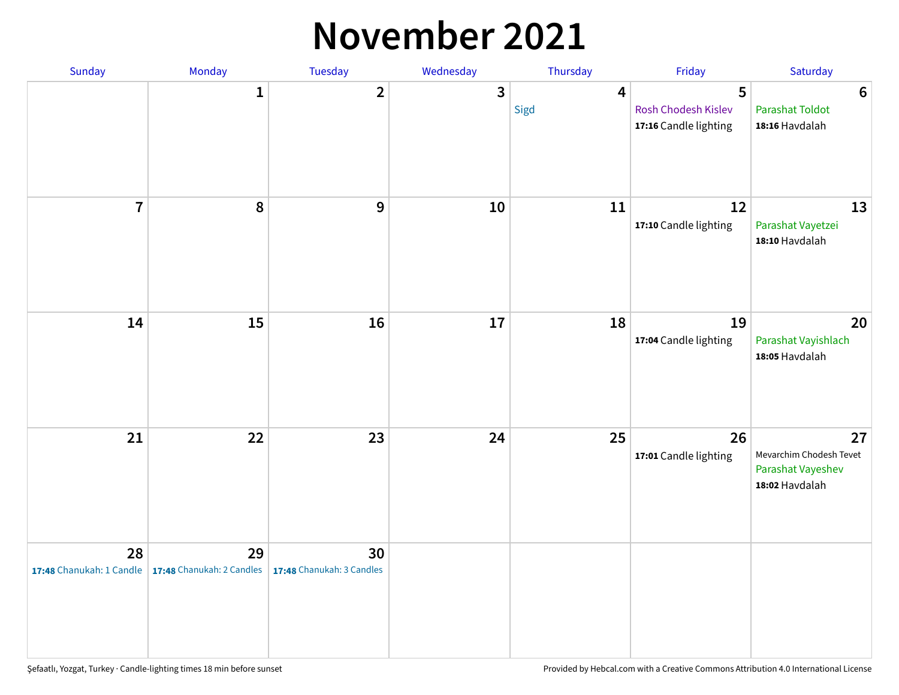#### **November 2021**

| Sunday         | Monday                                                   | Tuesday                         | Wednesday    | Thursday               | Friday                                            | Saturday                                                             |
|----------------|----------------------------------------------------------|---------------------------------|--------------|------------------------|---------------------------------------------------|----------------------------------------------------------------------|
|                | $\mathbf{1}$                                             | $\mathbf{2}$                    | $\mathbf{3}$ | $\overline{4}$<br>Sigd | 5<br>Rosh Chodesh Kislev<br>17:16 Candle lighting | $\boldsymbol{6}$<br><b>Parashat Toldot</b><br>18:16 Havdalah         |
| $\overline{7}$ | 8                                                        | 9                               | $10\,$       | 11                     | 12<br>17:10 Candle lighting                       | 13<br>Parashat Vayetzei<br>18:10 Havdalah                            |
| 14             | 15                                                       | 16                              | 17           | 18                     | 19<br>17:04 Candle lighting                       | 20<br>Parashat Vayishlach<br>18:05 Havdalah                          |
| 21             | 22                                                       | 23                              | 24           | 25                     | 26<br>17:01 Candle lighting                       | 27<br>Mevarchim Chodesh Tevet<br>Parashat Vayeshev<br>18:02 Havdalah |
| 28             | 29<br>17:48 Chanukah: 1 Candle 17:48 Chanukah: 2 Candles | 30<br>17:48 Chanukah: 3 Candles |              |                        |                                                   |                                                                      |